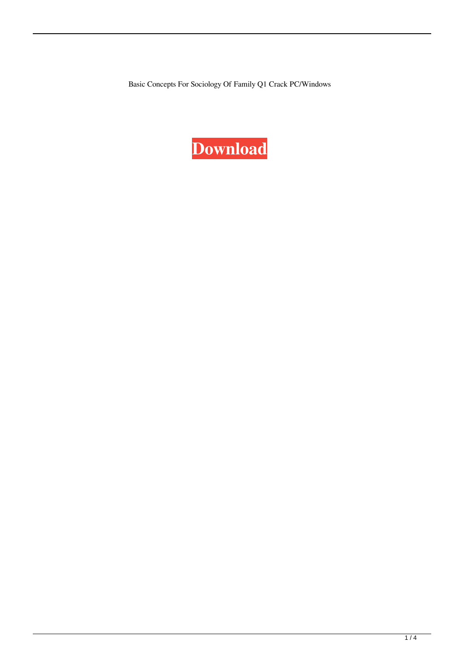Basic Concepts For Sociology Of Family Q1 Crack PC/Windows

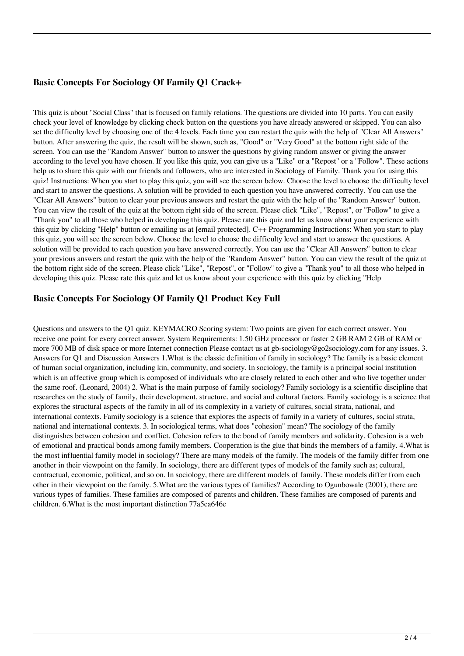#### **Basic Concepts For Sociology Of Family Q1 Crack+**

This quiz is about "Social Class" that is focused on family relations. The questions are divided into 10 parts. You can easily check your level of knowledge by clicking check button on the questions you have already answered or skipped. You can also set the difficulty level by choosing one of the 4 levels. Each time you can restart the quiz with the help of "Clear All Answers" button. After answering the quiz, the result will be shown, such as, "Good" or "Very Good" at the bottom right side of the screen. You can use the "Random Answer" button to answer the questions by giving random answer or giving the answer according to the level you have chosen. If you like this quiz, you can give us a "Like" or a "Repost" or a "Follow". These actions help us to share this quiz with our friends and followers, who are interested in Sociology of Family. Thank you for using this quiz! Instructions: When you start to play this quiz, you will see the screen below. Choose the level to choose the difficulty level and start to answer the questions. A solution will be provided to each question you have answered correctly. You can use the "Clear All Answers" button to clear your previous answers and restart the quiz with the help of the "Random Answer" button. You can view the result of the quiz at the bottom right side of the screen. Please click "Like", "Repost", or "Follow" to give a "Thank you" to all those who helped in developing this quiz. Please rate this quiz and let us know about your experience with this quiz by clicking "Help" button or emailing us at [email protected]. C++ Programming Instructions: When you start to play this quiz, you will see the screen below. Choose the level to choose the difficulty level and start to answer the questions. A solution will be provided to each question you have answered correctly. You can use the "Clear All Answers" button to clear your previous answers and restart the quiz with the help of the "Random Answer" button. You can view the result of the quiz at the bottom right side of the screen. Please click "Like", "Repost", or "Follow" to give a "Thank you" to all those who helped in developing this quiz. Please rate this quiz and let us know about your experience with this quiz by clicking "Help

#### **Basic Concepts For Sociology Of Family Q1 Product Key Full**

Questions and answers to the Q1 quiz. KEYMACRO Scoring system: Two points are given for each correct answer. You receive one point for every correct answer. System Requirements: 1.50 GHz processor or faster 2 GB RAM 2 GB of RAM or more 700 MB of disk space or more Internet connection Please contact us at gb-sociology@go2sociology.com for any issues. 3. Answers for Q1 and Discussion Answers 1.What is the classic definition of family in sociology? The family is a basic element of human social organization, including kin, community, and society. In sociology, the family is a principal social institution which is an affective group which is composed of individuals who are closely related to each other and who live together under the same roof. (Leonard, 2004) 2. What is the main purpose of family sociology? Family sociology is a scientific discipline that researches on the study of family, their development, structure, and social and cultural factors. Family sociology is a science that explores the structural aspects of the family in all of its complexity in a variety of cultures, social strata, national, and international contexts. Family sociology is a science that explores the aspects of family in a variety of cultures, social strata, national and international contexts. 3. In sociological terms, what does "cohesion" mean? The sociology of the family distinguishes between cohesion and conflict. Cohesion refers to the bond of family members and solidarity. Cohesion is a web of emotional and practical bonds among family members. Cooperation is the glue that binds the members of a family. 4.What is the most influential family model in sociology? There are many models of the family. The models of the family differ from one another in their viewpoint on the family. In sociology, there are different types of models of the family such as; cultural, contractual, economic, political, and so on. In sociology, there are different models of family. These models differ from each other in their viewpoint on the family. 5.What are the various types of families? According to Ogunbowale (2001), there are various types of families. These families are composed of parents and children. These families are composed of parents and children. 6.What is the most important distinction 77a5ca646e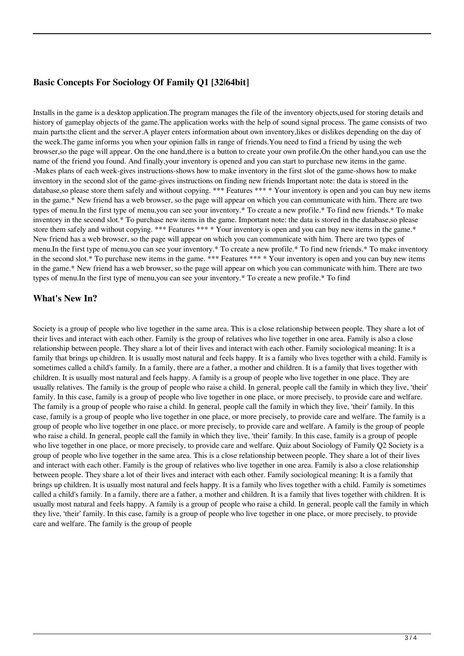## **Basic Concepts For Sociology Of Family Q1 [32|64bit]**

Installs in the game is a desktop application.The program manages the file of the inventory objects,used for storing details and history of gameplay objects of the game.The application works with the help of sound signal process. The game consists of two main parts:the client and the server.A player enters information about own inventory,likes or dislikes depending on the day of the week.The game informs you when your opinion falls in range of friends.You need to find a friend by using the web browser,so the page will appear. On the one hand,there is a button to create your own profile.On the other hand,you can use the name of the friend you found. And finally,your inventory is opened and you can start to purchase new items in the game. -Makes plans of each week-gives instructions-shows how to make inventory in the first slot of the game-shows how to make inventory in the second slot of the game-gives instructions on finding new friends Important note: the data is stored in the database,so please store them safely and without copying. \*\*\* Features \*\*\* \* Your inventory is open and you can buy new items in the game.\* New friend has a web browser, so the page will appear on which you can communicate with him. There are two types of menu.In the first type of menu,you can see your inventory.\* To create a new profile.\* To find new friends.\* To make inventory in the second slot.\* To purchase new items in the game. Important note: the data is stored in the database,so please store them safely and without copying. \*\*\* Features \*\*\*  $\overline{Y}$  Your inventory is open and you can buy new items in the game.\* New friend has a web browser, so the page will appear on which you can communicate with him. There are two types of menu.In the first type of menu,you can see your inventory.\* To create a new profile.\* To find new friends.\* To make inventory in the second slot.\* To purchase new items in the game. \*\*\* Features \*\*\* \* Your inventory is open and you can buy new items in the game.\* New friend has a web browser, so the page will appear on which you can communicate with him. There are two types of menu.In the first type of menu,you can see your inventory.\* To create a new profile.\* To find

## **What's New In?**

Society is a group of people who live together in the same area. This is a close relationship between people. They share a lot of their lives and interact with each other. Family is the group of relatives who live together in one area. Family is also a close relationship between people. They share a lot of their lives and interact with each other. Family sociological meaning: It is a family that brings up children. It is usually most natural and feels happy. It is a family who lives together with a child. Family is sometimes called a child's family. In a family, there are a father, a mother and children. It is a family that lives together with children. It is usually most natural and feels happy. A family is a group of people who live together in one place. They are usually relatives. The family is the group of people who raise a child. In general, people call the family in which they live, 'their' family. In this case, family is a group of people who live together in one place, or more precisely, to provide care and welfare. The family is a group of people who raise a child. In general, people call the family in which they live, 'their' family. In this case, family is a group of people who live together in one place, or more precisely, to provide care and welfare. The family is a group of people who live together in one place, or more precisely, to provide care and welfare. A family is the group of people who raise a child. In general, people call the family in which they live, 'their' family. In this case, family is a group of people who live together in one place, or more precisely, to provide care and welfare. Quiz about Sociology of Family Q2 Society is a group of people who live together in the same area. This is a close relationship between people. They share a lot of their lives and interact with each other. Family is the group of relatives who live together in one area. Family is also a close relationship between people. They share a lot of their lives and interact with each other. Family sociological meaning: It is a family that brings up children. It is usually most natural and feels happy. It is a family who lives together with a child. Family is sometimes called a child's family. In a family, there are a father, a mother and children. It is a family that lives together with children. It is usually most natural and feels happy. A family is a group of people who raise a child. In general, people call the family in which they live, 'their' family. In this case, family is a group of people who live together in one place, or more precisely, to provide care and welfare. The family is the group of people